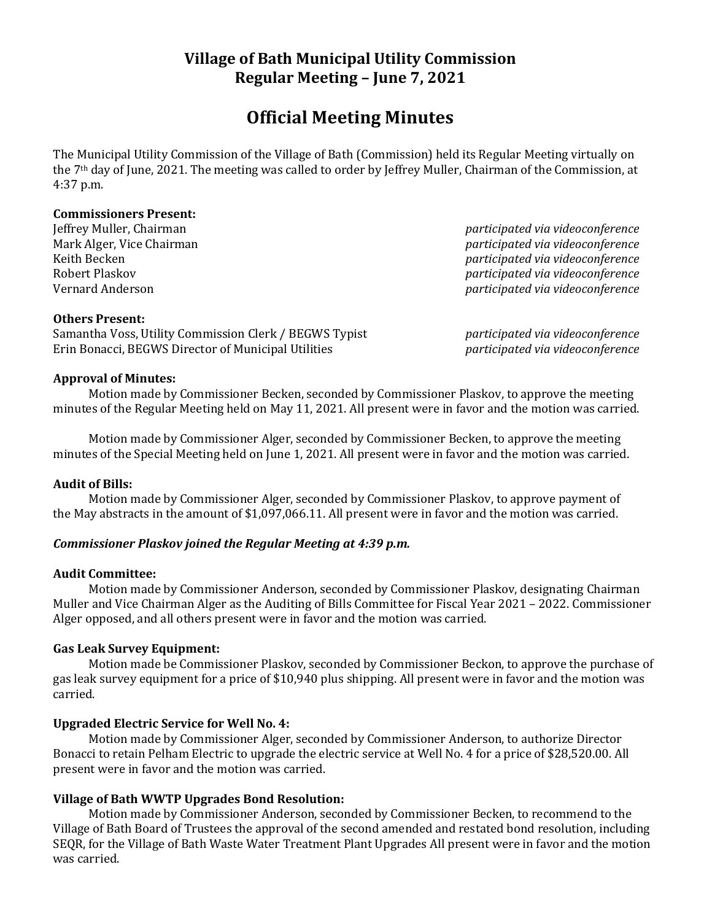# **Village of Bath Municipal Utility Commission Regular Meeting – June 7, 2021**

# **Official Meeting Minutes**

The Municipal Utility Commission of the Village of Bath (Commission) held its Regular Meeting virtually on the 7th day of June, 2021. The meeting was called to order by Jeffrey Muller, Chairman of the Commission, at 4:37 p.m.

#### **Commissioners Present:**

Jeffrey Muller, Chairman *participated via videoconference* Mark Alger, Vice Chairman *participated via videoconference* Keith Becken *participated via videoconference* Robert Plaskov *participated via videoconference* Vernard Anderson *participated via videoconference*

#### **Others Present:**

Samantha Voss, Utility Commission Clerk / BEGWS Typist *participated via videoconference* Erin Bonacci, BEGWS Director of Municipal Utilities *participated via videoconference*

#### **Approval of Minutes:**

Motion made by Commissioner Becken, seconded by Commissioner Plaskov, to approve the meeting minutes of the Regular Meeting held on May 11, 2021. All present were in favor and the motion was carried.

Motion made by Commissioner Alger, seconded by Commissioner Becken, to approve the meeting minutes of the Special Meeting held on June 1, 2021. All present were in favor and the motion was carried.

#### **Audit of Bills:**

Motion made by Commissioner Alger, seconded by Commissioner Plaskov, to approve payment of the May abstracts in the amount of \$1,097,066.11. All present were in favor and the motion was carried.

## *Commissioner Plaskov joined the Regular Meeting at 4:39 p.m.*

#### **Audit Committee:**

Motion made by Commissioner Anderson, seconded by Commissioner Plaskov, designating Chairman Muller and Vice Chairman Alger as the Auditing of Bills Committee for Fiscal Year 2021 – 2022. Commissioner Alger opposed, and all others present were in favor and the motion was carried.

## **Gas Leak Survey Equipment:**

Motion made be Commissioner Plaskov, seconded by Commissioner Beckon, to approve the purchase of gas leak survey equipment for a price of \$10,940 plus shipping. All present were in favor and the motion was carried.

## **Upgraded Electric Service for Well No. 4:**

Motion made by Commissioner Alger, seconded by Commissioner Anderson, to authorize Director Bonacci to retain Pelham Electric to upgrade the electric service at Well No. 4 for a price of \$28,520.00. All present were in favor and the motion was carried.

## **Village of Bath WWTP Upgrades Bond Resolution:**

Motion made by Commissioner Anderson, seconded by Commissioner Becken, to recommend to the Village of Bath Board of Trustees the approval of the second amended and restated bond resolution, including SEQR, for the Village of Bath Waste Water Treatment Plant Upgrades All present were in favor and the motion was carried.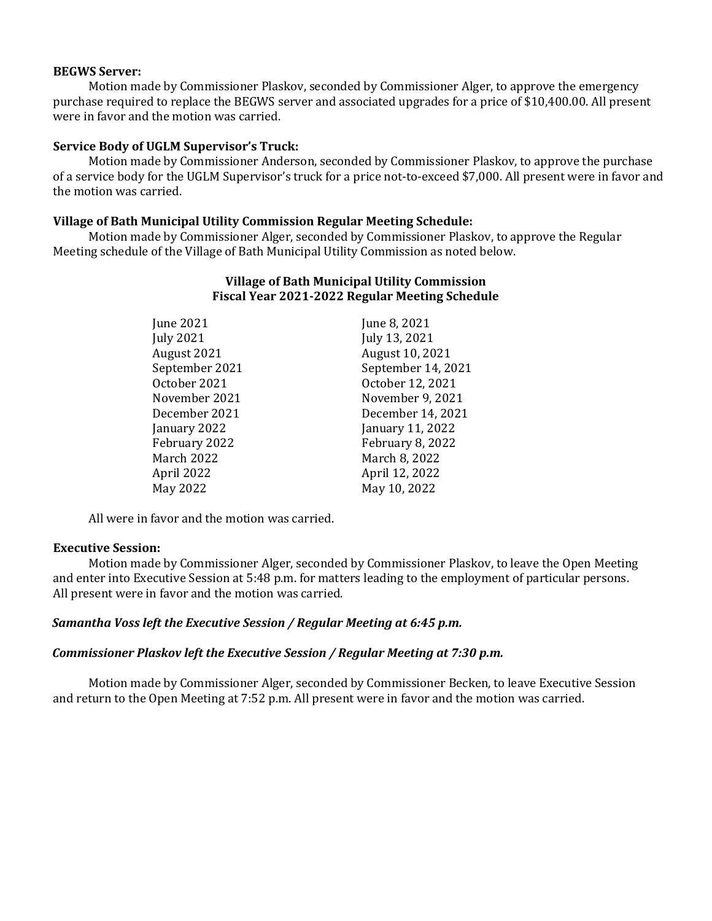#### **BEGWS Server:**

Motion made by Commissioner Plaskov, seconded by Commissioner Alger, to approve the emergency purchase required to replace the BEGWS server and associated upgrades for a price of \$10,400.00. All present were in favor and the motion was carried.

#### **Service Body of UGLM Supervisor's Truck:**

Motion made by Commissioner Anderson, seconded by Commissioner Plaskov, to approve the purchase of a service body for the UGLM Supervisor's truck for a price not-to-exceed \$7,000. All present were in favor and the motion was carried.

#### **Village of Bath Municipal Utility Commission Regular Meeting Schedule:**

Motion made by Commissioner Alger, seconded by Commissioner Plaskov, to approve the Regular Meeting schedule of the Village of Bath Municipal Utility Commission as noted below.

| June 2021        | June 8, 2021            |
|------------------|-------------------------|
| <b>July 2021</b> | July 13, 2021           |
| August 2021      | August 10, 2021         |
| September 2021   | September 14, 2021      |
| October 2021     | October 12, 2021        |
| November 2021    | November 9, 2021        |
| December 2021    | December 14, 2021       |
| January 2022     | January 11, 2022        |
| February 2022    | <b>February 8, 2022</b> |
| March 2022       | March 8, 2022           |
| April 2022       | April 12, 2022          |
| May 2022         | May 10, 2022            |

## **Village of Bath Municipal Utility Commission Fiscal Year 2021-2022 Regular Meeting Schedule**

All were in favor and the motion was carried.

#### **Executive Session:**

Motion made by Commissioner Alger, seconded by Commissioner Plaskov, to leave the Open Meeting and enter into Executive Session at 5:48 p.m. for matters leading to the employment of particular persons. All present were in favor and the motion was carried.

#### *Samantha Voss left the Executive Session / Regular Meeting at 6:45 p.m.*

#### *Commissioner Plaskov left the Executive Session / Regular Meeting at 7:30 p.m.*

Motion made by Commissioner Alger, seconded by Commissioner Becken, to leave Executive Session and return to the Open Meeting at 7:52 p.m. All present were in favor and the motion was carried.